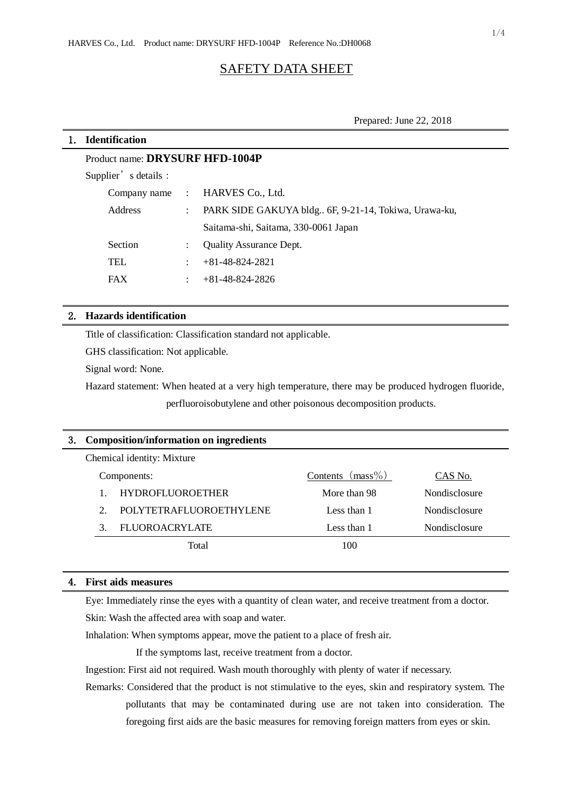# SAFETY DATA SHEET

Prepared: June 22, 2018

# 1. **Identification**

# Product name: **DRYSURF HFD-1004P**

Supplier's details:

|            | Company name : HARVES Co., Ltd.                      |
|------------|------------------------------------------------------|
| Address    | PARK SIDE GAKUYA bldg 6F, 9-21-14, Tokiwa, Urawa-ku, |
|            | Saitama-shi, Saitama, 330-0061 Japan                 |
| Section    | <b>Ouality Assurance Dept.</b>                       |
| <b>TEL</b> | $+81-48-824-2821$                                    |
| <b>FAX</b> | $+81-48-824-2826$                                    |

# 2. **Hazards identification**

Title of classification: Classification standard not applicable.

GHS classification: Not applicable.

Signal word: None.

Hazard statement: When heated at a very high temperature, there may be produced hydrogen fluoride,

perfluoroisobutylene and other poisonous decomposition products.

| 3. | Composition/information on ingredients |                         |                     |                      |  |  |  |
|----|----------------------------------------|-------------------------|---------------------|----------------------|--|--|--|
|    | Chemical identity: Mixture             |                         |                     |                      |  |  |  |
|    | Components:                            |                         | Contents $(mass\%)$ | CAS No.              |  |  |  |
|    |                                        | <b>HYDROFLUOROETHER</b> | More than 98        | <b>Nondisclosure</b> |  |  |  |
|    | $\mathcal{D}$                          | POLYTETRAFLUOROETHYLENE | Less than 1         | Nondisclosure        |  |  |  |
|    | 3                                      | <b>FLUOROACRYLATE</b>   | Less than 1         | Nondisclosure        |  |  |  |
|    |                                        | Total                   | 100                 |                      |  |  |  |
|    |                                        |                         |                     |                      |  |  |  |

# 4. **First aids measures**

Eye: Immediately rinse the eyes with a quantity of clean water, and receive treatment from a doctor.

Skin: Wash the affected area with soap and water.

Inhalation: When symptoms appear, move the patient to a place of fresh air.

If the symptoms last, receive treatment from a doctor.

Ingestion: First aid not required. Wash mouth thoroughly with plenty of water if necessary.

Remarks: Considered that the product is not stimulative to the eyes, skin and respiratory system. The pollutants that may be contaminated during use are not taken into consideration. The foregoing first aids are the basic measures for removing foreign matters from eyes or skin.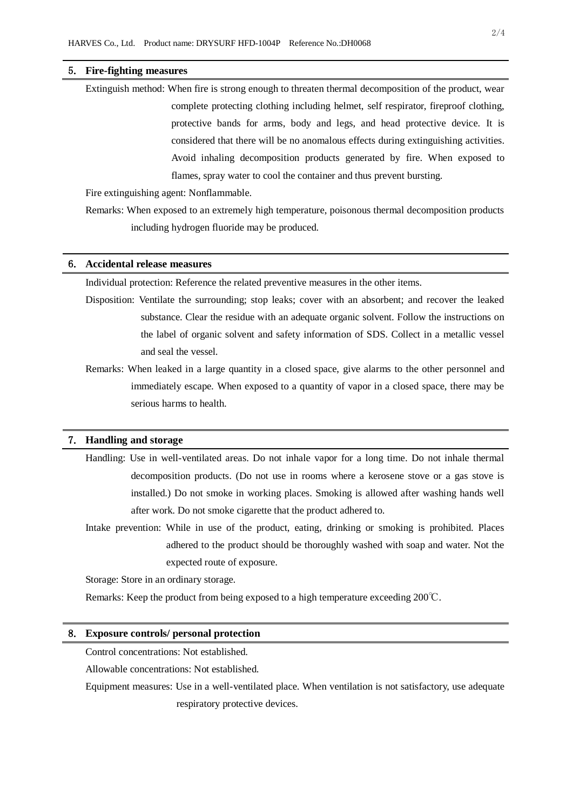#### 5. **Fire-fighting measures**

Extinguish method: When fire is strong enough to threaten thermal decomposition of the product, wear complete protecting clothing including helmet, self respirator, fireproof clothing, protective bands for arms, body and legs, and head protective device. It is considered that there will be no anomalous effects during extinguishing activities. Avoid inhaling decomposition products generated by fire. When exposed to flames, spray water to cool the container and thus prevent bursting.

Fire extinguishing agent: Nonflammable.

Remarks: When exposed to an extremely high temperature, poisonous thermal decomposition products including hydrogen fluoride may be produced.

#### 6. **Accidental release measures**

Individual protection: Reference the related preventive measures in the other items.

Disposition: Ventilate the surrounding; stop leaks; cover with an absorbent; and recover the leaked substance. Clear the residue with an adequate organic solvent. Follow the instructions on the label of organic solvent and safety information of SDS. Collect in a metallic vessel and seal the vessel.

Remarks: When leaked in a large quantity in a closed space, give alarms to the other personnel and immediately escape. When exposed to a quantity of vapor in a closed space, there may be serious harms to health.

## 7. **Handling and storage**

- Handling: Use in well-ventilated areas. Do not inhale vapor for a long time. Do not inhale thermal decomposition products. (Do not use in rooms where a kerosene stove or a gas stove is installed.) Do not smoke in working places. Smoking is allowed after washing hands well after work. Do not smoke cigarette that the product adhered to.
- Intake prevention: While in use of the product, eating, drinking or smoking is prohibited. Places adhered to the product should be thoroughly washed with soap and water. Not the expected route of exposure.

Storage: Store in an ordinary storage.

Remarks: Keep the product from being exposed to a high temperature exceeding 200℃.

#### 8. **Exposure controls/ personal protection**

Control concentrations: Not established.

Allowable concentrations: Not established.

Equipment measures: Use in a well-ventilated place. When ventilation is not satisfactory, use adequate respiratory protective devices.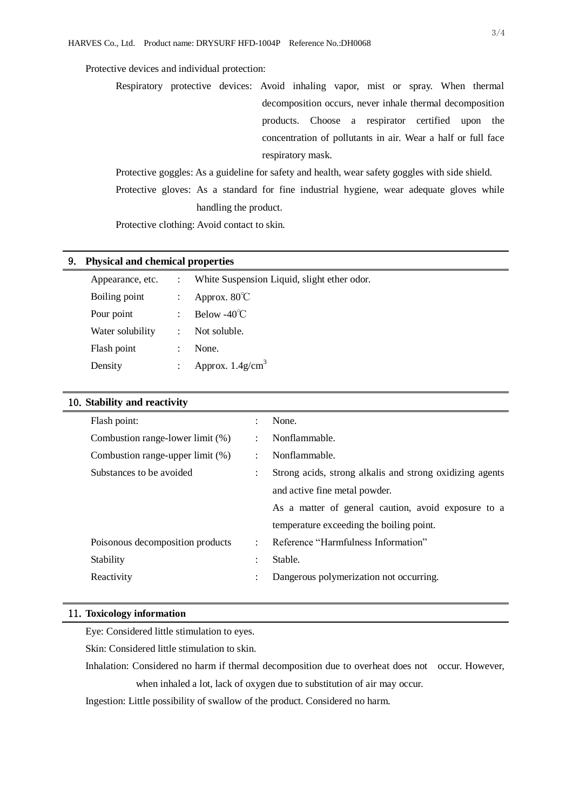# Protective devices and individual protection:

Respiratory protective devices: Avoid inhaling vapor, mist or spray. When thermal decomposition occurs, never inhale thermal decomposition products. Choose a respirator certified upon the concentration of pollutants in air. Wear a half or full face respiratory mask.

Protective goggles: As a guideline for safety and health, wear safety goggles with side shield. Protective gloves: As a standard for fine industrial hygiene, wear adequate gloves while handling the product.

Protective clothing: Avoid contact to skin.

#### 9. **Physical and chemical properties**

| Appearance, etc. | White Suspension Liquid, slight ether odor. |
|------------------|---------------------------------------------|
| Boiling point    | Approx. $80^{\circ}$ C                      |
| Pour point       | Below -40 $\degree$ C                       |
| Water solubility | Not soluble.                                |
| Flash point      | None.                                       |
| Density          | Approx. $1.4$ g/cm <sup>3</sup>             |

# 10.**Stability and reactivity**

| Flash point:                     | $\ddot{\cdot}$       | None.                                                    |
|----------------------------------|----------------------|----------------------------------------------------------|
| Combustion range-lower limit (%) | $\ddot{\cdot}$       | Nonflammable.                                            |
| Combustion range-upper limit (%) | $\ddot{\phantom{a}}$ | Nonflammable.                                            |
| Substances to be avoided         | $\ddot{\phantom{a}}$ | Strong acids, strong alkalis and strong oxidizing agents |
|                                  |                      | and active fine metal powder.                            |
|                                  |                      | As a matter of general caution, avoid exposure to a      |
|                                  |                      | temperature exceeding the boiling point.                 |
| Poisonous decomposition products | ÷                    | Reference "Harmfulness Information"                      |
| Stability                        | $\ddot{\phantom{a}}$ | Stable.                                                  |
| Reactivity                       | ٠                    | Dangerous polymerization not occurring.                  |
|                                  |                      |                                                          |

## 11.**Toxicology information**

Eye: Considered little stimulation to eyes.

Skin: Considered little stimulation to skin.

Inhalation: Considered no harm if thermal decomposition due to overheat does not occur. However, when inhaled a lot, lack of oxygen due to substitution of air may occur.

Ingestion: Little possibility of swallow of the product. Considered no harm.